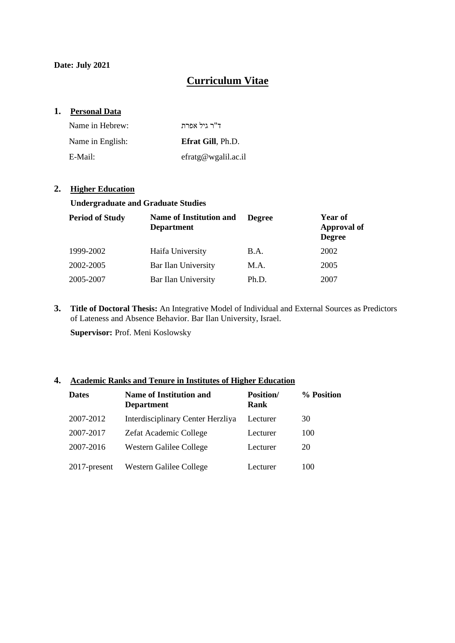**Date: July 2021**

# **Curriculum Vitae**

### **1. Personal Data**

| Name in Hebrew:  | ד"ר גיל אפרת             |
|------------------|--------------------------|
| Name in English: | <b>Efrat Gill, Ph.D.</b> |
| E-Mail:          | effatg@wgalil.ac.i       |

### **2. Higher Education**

#### **Undergraduate and Graduate Studies**

| <b>Period of Study</b> | <b>Name of Institution and</b><br><b>Department</b> | <b>Degree</b> | Year of<br><b>Approval of</b><br><b>Degree</b> |
|------------------------|-----------------------------------------------------|---------------|------------------------------------------------|
| 1999-2002              | Haifa University                                    | B.A.          | 2002                                           |
| 2002-2005              | Bar Ilan University                                 | M.A.          | 2005                                           |
| 2005-2007              | Bar Ilan University                                 | Ph.D.         | 2007                                           |

**3. Title of Doctoral Thesis:** An Integrative Model of Individual and External Sources as Predictors of Lateness and Absence Behavior. Bar Ilan University, Israel.

**Supervisor:** Prof. Meni Koslowsky

### **4. Academic Ranks and Tenure in Institutes of Higher Education**

| <b>Dates</b>    | Name of Institution and<br><b>Department</b> | <b>Position</b> /<br>Rank | % Position |
|-----------------|----------------------------------------------|---------------------------|------------|
| 2007-2012       | Interdisciplinary Center Herzliya            | Lecturer                  | 30         |
| 2007-2017       | Zefat Academic College                       | Lecturer                  | 100        |
| 2007-2016       | Western Galilee College                      | Lecturer                  | 20         |
| $2017$ -present | Western Galilee College                      | Lecturer                  | 100        |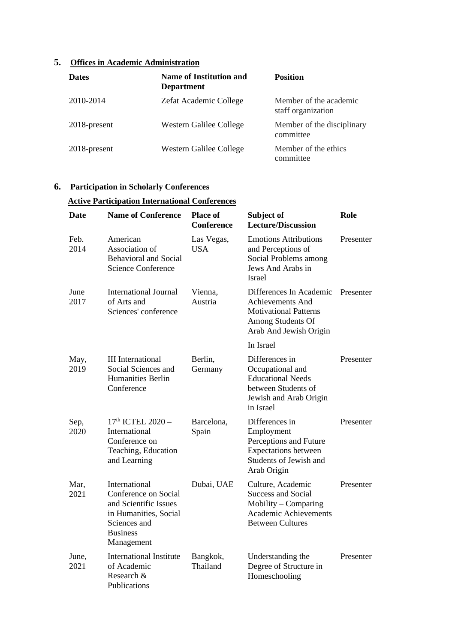# **5. Offices in Academic Administration**

| <b>Dates</b>    | Name of Institution and<br><b>Department</b> | <b>Position</b>                              |
|-----------------|----------------------------------------------|----------------------------------------------|
| 2010-2014       | Zefat Academic College                       | Member of the academic<br>staff organization |
| $2018$ -present | Western Galilee College                      | Member of the disciplinary<br>committee      |
| 2018-present    | Western Galilee College                      | Member of the ethics<br>committee            |

## **6. Participation in Scholarly Conferences**

# **Active Participation International Conferences**

| <b>Date</b>   | <b>Name of Conference</b>                                                                                                                | <b>Place of</b><br><b>Conference</b> | Subject of<br><b>Lecture/Discussion</b>                                                                                           | Role      |
|---------------|------------------------------------------------------------------------------------------------------------------------------------------|--------------------------------------|-----------------------------------------------------------------------------------------------------------------------------------|-----------|
| Feb.<br>2014  | American<br>Association of<br><b>Behavioral and Social</b><br><b>Science Conference</b>                                                  | Las Vegas,<br>USA                    | <b>Emotions Attributions</b><br>and Perceptions of<br>Social Problems among<br>Jews And Arabs in<br><b>Israel</b>                 | Presenter |
| June<br>2017  | <b>International Journal</b><br>of Arts and<br>Sciences' conference                                                                      | Vienna,<br>Austria                   | Differences In Academic<br><b>Achievements And</b><br><b>Motivational Patterns</b><br>Among Students Of<br>Arab And Jewish Origin | Presenter |
|               |                                                                                                                                          |                                      | In Israel                                                                                                                         |           |
| May,<br>2019  | <b>III</b> International<br>Social Sciences and<br><b>Humanities Berlin</b><br>Conference                                                | Berlin,<br>Germany                   | Differences in<br>Occupational and<br><b>Educational Needs</b><br>between Students of<br>Jewish and Arab Origin<br>in Israel      | Presenter |
| Sep,<br>2020  | 17 <sup>th</sup> ICTEL 2020 -<br>International<br>Conference on<br>Teaching, Education<br>and Learning                                   | Barcelona,<br>Spain                  | Differences in<br>Employment<br>Perceptions and Future<br><b>Expectations between</b><br>Students of Jewish and<br>Arab Origin    | Presenter |
| Mar,<br>2021  | International<br>Conference on Social<br>and Scientific Issues<br>in Humanities, Social<br>Sciences and<br><b>Business</b><br>Management | Dubai, UAE                           | Culture, Academic<br><b>Success and Social</b><br>Mobility – Comparing<br><b>Academic Achievements</b><br><b>Between Cultures</b> | Presenter |
| June,<br>2021 | <b>International Institute</b><br>of Academic<br>Research &<br>Publications                                                              | Bangkok,<br>Thailand                 | Understanding the<br>Degree of Structure in<br>Homeschooling                                                                      | Presenter |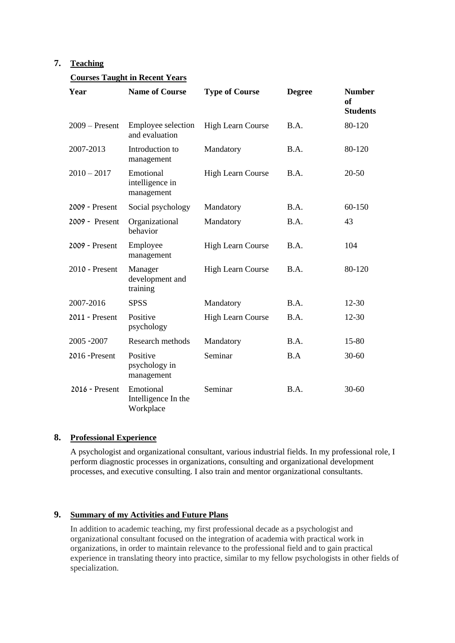## **7. Teaching**

### **Courses Taught in Recent Years**

| Year             | <b>Name of Course</b>                         | <b>Type of Course</b>    | <b>Degree</b>                   | <b>Number</b><br>of<br><b>Students</b> |
|------------------|-----------------------------------------------|--------------------------|---------------------------------|----------------------------------------|
| $2009 -$ Present | Employee selection<br>and evaluation          | <b>High Learn Course</b> | B.A.                            | 80-120                                 |
| 2007-2013        | Introduction to<br>management                 | Mandatory                | B.A.                            | 80-120                                 |
| $2010 - 2017$    | Emotional<br>intelligence in<br>management    | <b>High Learn Course</b> | $\mathbf{B} \cdot \mathbf{A}$ . | $20 - 50$                              |
| 2009 - Present   | Social psychology                             | Mandatory                | B.A.                            | 60-150                                 |
| 2009 - Present   | Organizational<br>behavior                    | Mandatory                | B.A.                            | 43                                     |
| 2009 - Present   | Employee<br>management                        | <b>High Learn Course</b> | B.A.                            | 104                                    |
| 2010 - Present   | Manager<br>development and<br>training        | <b>High Learn Course</b> | B.A.                            | 80-120                                 |
| 2007-2016        | <b>SPSS</b>                                   | Mandatory                | B.A.                            | $12 - 30$                              |
| 2011 - Present   | Positive<br>psychology                        | <b>High Learn Course</b> | B.A.                            | $12 - 30$                              |
| 2005 - 2007      | Research methods                              | Mandatory                | B.A.                            | 15-80                                  |
| 2016 -Present    | Positive<br>psychology in<br>management       | Seminar                  | B.A                             | $30 - 60$                              |
| 2016 - Present   | Emotional<br>Intelligence In the<br>Workplace | Seminar                  | B.A.                            | $30 - 60$                              |

### **8. Professional Experience**

A psychologist and organizational consultant, various industrial fields. In my professional role, I perform diagnostic processes in organizations, consulting and organizational development processes, and executive consulting. I also train and mentor organizational consultants.

### **9. Summary of my Activities and Future Plans**

In addition to academic teaching, my first professional decade as a psychologist and organizational consultant focused on the integration of academia with practical work in organizations, in order to maintain relevance to the professional field and to gain practical experience in translating theory into practice, similar to my fellow psychologists in other fields of specialization.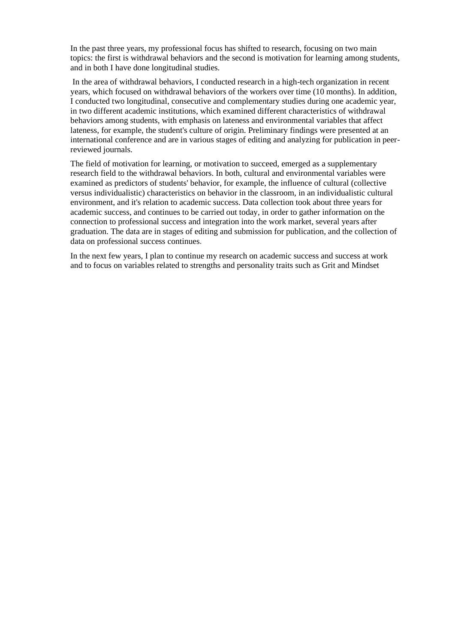In the past three years, my professional focus has shifted to research, focusing on two main topics: the first is withdrawal behaviors and the second is motivation for learning among students, and in both I have done longitudinal studies.

In the area of withdrawal behaviors, I conducted research in a high-tech organization in recent years, which focused on withdrawal behaviors of the workers over time (10 months). In addition, I conducted two longitudinal, consecutive and complementary studies during one academic year, in two different academic institutions, which examined different characteristics of withdrawal behaviors among students, with emphasis on lateness and environmental variables that affect lateness, for example, the student's culture of origin. Preliminary findings were presented at an international conference and are in various stages of editing and analyzing for publication in peerreviewed journals.

The field of motivation for learning, or motivation to succeed, emerged as a supplementary research field to the withdrawal behaviors. In both, cultural and environmental variables were examined as predictors of students' behavior, for example, the influence of cultural (collective versus individualistic) characteristics on behavior in the classroom, in an individualistic cultural environment, and it's relation to academic success. Data collection took about three years for academic success, and continues to be carried out today, in order to gather information on the connection to professional success and integration into the work market, several years after graduation. The data are in stages of editing and submission for publication, and the collection of data on professional success continues.

In the next few years, I plan to continue my research on academic success and success at work and to focus on variables related to strengths and personality traits such as Grit and Mindset